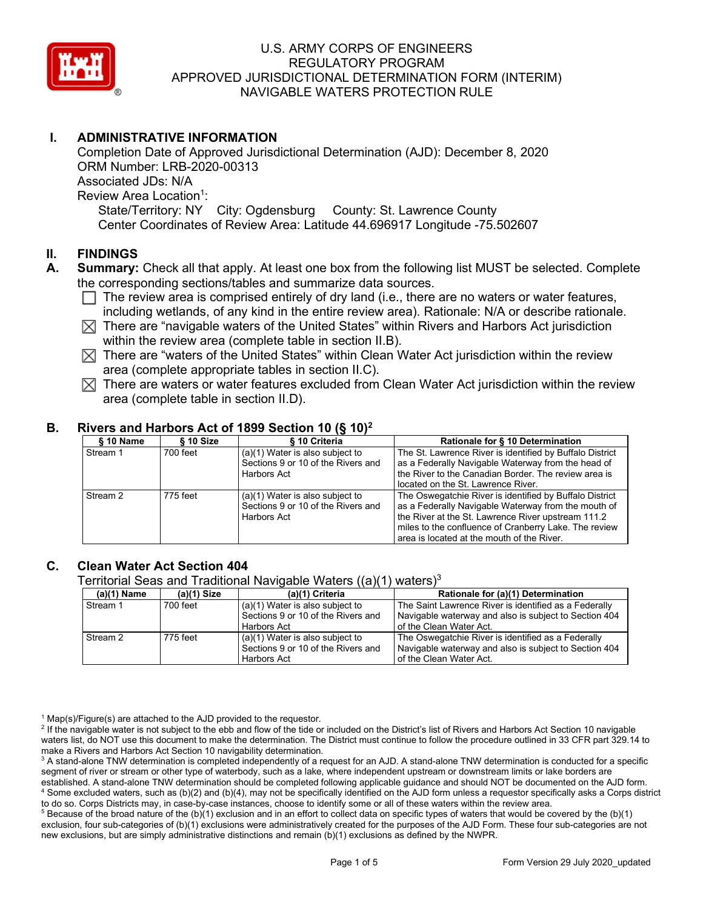

# **I. ADMINISTRATIVE INFORMATION**

Completion Date of Approved Jurisdictional Determination (AJD): December 8, 2020 ORM Number: LRB-2020-00313 Associated JDs: N/A Review Area Location<sup>1</sup>: State/Territory: NY City: Ogdensburg County: St. Lawrence County Center Coordinates of Review Area: Latitude 44.696917 Longitude -75.502607

### **II. FINDINGS**

- **A. Summary:** Check all that apply. At least one box from the following list MUST be selected. Complete the corresponding sections/tables and summarize data sources.
	- $\Box$  The review area is comprised entirely of dry land (i.e., there are no waters or water features, including wetlands, of any kind in the entire review area). Rationale: N/A or describe rationale.
	- $\boxtimes$  There are "navigable waters of the United States" within Rivers and Harbors Act jurisdiction within the review area (complete table in section II.B).
	- $\boxtimes$  There are "waters of the United States" within Clean Water Act jurisdiction within the review area (complete appropriate tables in section II.C).
	- $\boxtimes$  There are waters or water features excluded from Clean Water Act jurisdiction within the review area (complete table in section II.D).

# **B. Rivers and Harbors Act of 1899 Section 10 (§ 10)2**

| $§ 10$ Name                         | § 10 Size | § 10 Criteria                                                                          | Rationale for § 10 Determination                                                                                                                                                                                                                                            |  |  |  |
|-------------------------------------|-----------|----------------------------------------------------------------------------------------|-----------------------------------------------------------------------------------------------------------------------------------------------------------------------------------------------------------------------------------------------------------------------------|--|--|--|
| Stream 1                            | 700 feet  | $(a)(1)$ Water is also subject to<br>Sections 9 or 10 of the Rivers and<br>Harbors Act | The St. Lawrence River is identified by Buffalo District<br>as a Federally Navigable Waterway from the head of<br>the River to the Canadian Border. The review area is<br>located on the St. Lawrence River.                                                                |  |  |  |
| Stream 2<br>775 feet<br>Harbors Act |           | $(a)(1)$ Water is also subject to<br>Sections 9 or 10 of the Rivers and                | The Oswegatchie River is identified by Buffalo District<br>as a Federally Navigable Waterway from the mouth of<br>the River at the St. Lawrence River upstream 111.2<br>miles to the confluence of Cranberry Lake. The review<br>area is located at the mouth of the River. |  |  |  |

## **C. Clean Water Act Section 404**

Territorial Seas and Traditional Navigable Waters  $((a)(1)$  waters)<sup>3</sup>

| (a)(1) Name | $(a)(1)$ Size | $\cdots$<br>(a)(1) Criteria                                             | Rationale for (a)(1) Determination                                                                          |  |  |  |
|-------------|---------------|-------------------------------------------------------------------------|-------------------------------------------------------------------------------------------------------------|--|--|--|
| Stream 1    | 700 feet      | $(a)(1)$ Water is also subject to                                       | The Saint Lawrence River is identified as a Federally                                                       |  |  |  |
|             |               | Sections 9 or 10 of the Rivers and                                      | Navigable waterway and also is subject to Section 404                                                       |  |  |  |
|             |               | Harbors Act                                                             | of the Clean Water Act.                                                                                     |  |  |  |
| Stream 2    | 775 feet      | $(a)(1)$ Water is also subject to<br>Sections 9 or 10 of the Rivers and | The Oswegatchie River is identified as a Federally<br>Navigable waterway and also is subject to Section 404 |  |  |  |
|             |               | Harbors Act                                                             | of the Clean Water Act.                                                                                     |  |  |  |

 $1$  Map(s)/Figure(s) are attached to the AJD provided to the requestor.

<sup>2</sup> If the navigable water is not subject to the ebb and flow of the tide or included on the District's list of Rivers and Harbors Act Section 10 navigable waters list, do NOT use this document to make the determination. The District must continue to follow the procedure outlined in 33 CFR part 329.14 to make a Rivers and Harbors Act Section 10 navigability determination.

<sup>3</sup> A stand-alone TNW determination is completed independently of a request for an AJD. A stand-alone TNW determination is conducted for a specific segment of river or stream or other type of waterbody, such as a lake, where independent upstream or downstream limits or lake borders are established. A stand-alone TNW determination should be completed following applicable guidance and should NOT be documented on the AJD form. <sup>4</sup> Some excluded waters, such as (b)(2) and (b)(4), may not be specifically identified on the AJD form unless a requestor specifically asks a Corps district to do so. Corps Districts may, in case-by-case instances, choose to identify some or all of these waters within the review area.

 $5$  Because of the broad nature of the (b)(1) exclusion and in an effort to collect data on specific types of waters that would be covered by the (b)(1) exclusion, four sub-categories of (b)(1) exclusions were administratively created for the purposes of the AJD Form. These four sub-categories are not new exclusions, but are simply administrative distinctions and remain (b)(1) exclusions as defined by the NWPR.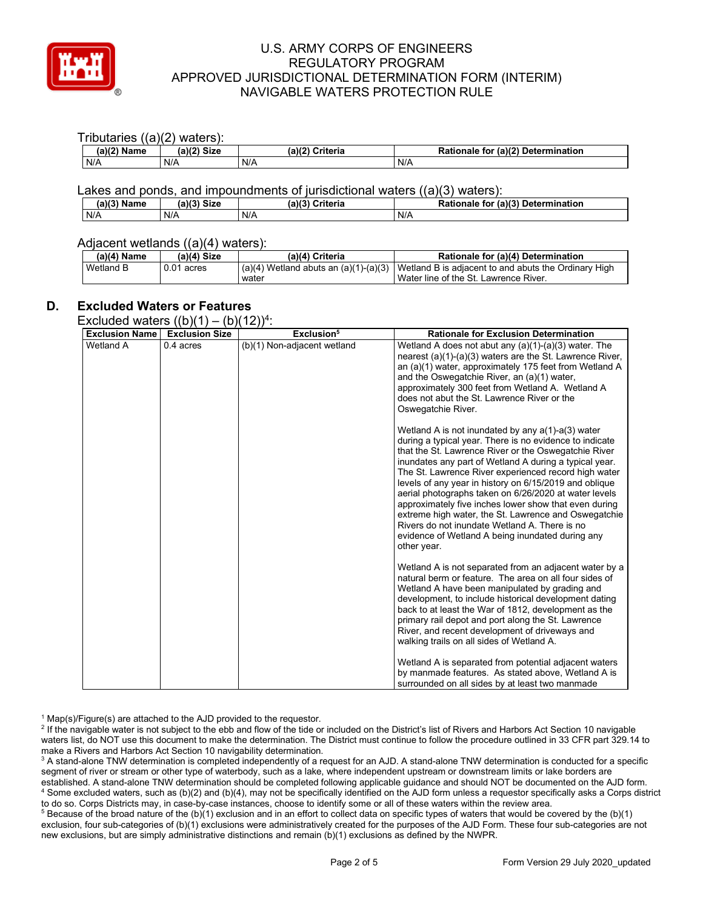

#### Tributaries ((a)(2) waters): **(a)(2) Name (a)(2) Size (a)(2) Criteria Rationale for (a)(2) Determination**<br>N/A **N/A** N/A N/A N/A N/A

### Lakes and ponds, and impoundments of jurisdictional waters ((a)(3) waters):

| (a)(3)<br>Name | .2112<br><b>Size</b> | (a)(3)<br>Criteria | (a)(3) Determination<br><b>Rationale</b><br>for |
|----------------|----------------------|--------------------|-------------------------------------------------|
| N/A            | N/A                  | N/A                | N/A                                             |

#### Adjacent wetlands ((a)(4) waters):

| $(a)(4)$ Name | $(a)(4)$ Size | (a)(4) Criteria | Rationale for (a)(4) Determination                                                               |  |  |
|---------------|---------------|-----------------|--------------------------------------------------------------------------------------------------|--|--|
| Wetland B     | $0.01$ acres  |                 | $(a)(4)$ Wetland abuts an $(a)(1)-(a)(3)$   Wetland B is adjacent to and abuts the Ordinary High |  |  |
|               |               | water           | Water line of the St. Lawrence River.                                                            |  |  |

## **D. Excluded Waters or Features**

Excluded waters  $((b)(1) - (b)(12))^4$ :

| <b>Exclusion Name</b> | $\frac{1}{2}$<br><b>Exclusion Size</b> | $\sqrt{2}$ $\sqrt{2}$ $\sqrt{2}$ $\sqrt{2}$ $\sqrt{2}$ $\sqrt{2}$<br>Exclusion <sup>5</sup> | <b>Rationale for Exclusion Determination</b>                                                                                                                                                                                                                                                                                                                                                                                                                                                                                                                                                                                                      |
|-----------------------|----------------------------------------|---------------------------------------------------------------------------------------------|---------------------------------------------------------------------------------------------------------------------------------------------------------------------------------------------------------------------------------------------------------------------------------------------------------------------------------------------------------------------------------------------------------------------------------------------------------------------------------------------------------------------------------------------------------------------------------------------------------------------------------------------------|
| Wetland A             | 0.4 acres                              | (b)(1) Non-adjacent wetland                                                                 | Wetland A does not abut any $(a)(1)-(a)(3)$ water. The<br>nearest (a)(1)-(a)(3) waters are the St. Lawrence River,<br>an (a)(1) water, approximately 175 feet from Wetland A<br>and the Oswegatchie River, an (a)(1) water,<br>approximately 300 feet from Wetland A. Wetland A<br>does not abut the St. Lawrence River or the<br>Oswegatchie River.                                                                                                                                                                                                                                                                                              |
|                       |                                        |                                                                                             | Wetland A is not inundated by any $a(1)$ -a(3) water<br>during a typical year. There is no evidence to indicate<br>that the St. Lawrence River or the Oswegatchie River<br>inundates any part of Wetland A during a typical year.<br>The St. Lawrence River experienced record high water<br>levels of any year in history on 6/15/2019 and oblique<br>aerial photographs taken on 6/26/2020 at water levels<br>approximately five inches lower show that even during<br>extreme high water, the St. Lawrence and Oswegatchie<br>Rivers do not inundate Wetland A. There is no<br>evidence of Wetland A being inundated during any<br>other year. |
|                       |                                        |                                                                                             | Wetland A is not separated from an adjacent water by a<br>natural berm or feature. The area on all four sides of<br>Wetland A have been manipulated by grading and<br>development, to include historical development dating<br>back to at least the War of 1812, development as the<br>primary rail depot and port along the St. Lawrence<br>River, and recent development of driveways and<br>walking trails on all sides of Wetland A.<br>Wetland A is separated from potential adjacent waters<br>by manmade features. As stated above, Wetland A is                                                                                           |
|                       |                                        |                                                                                             | surrounded on all sides by at least two manmade                                                                                                                                                                                                                                                                                                                                                                                                                                                                                                                                                                                                   |

 $1$  Map(s)/Figure(s) are attached to the AJD provided to the requestor.

<sup>2</sup> If the navigable water is not subject to the ebb and flow of the tide or included on the District's list of Rivers and Harbors Act Section 10 navigable waters list, do NOT use this document to make the determination. The District must continue to follow the procedure outlined in 33 CFR part 329.14 to make a Rivers and Harbors Act Section 10 navigability determination.

<sup>3</sup> A stand-alone TNW determination is completed independently of a request for an AJD. A stand-alone TNW determination is conducted for a specific segment of river or stream or other type of waterbody, such as a lake, where independent upstream or downstream limits or lake borders are established. A stand-alone TNW determination should be completed following applicable guidance and should NOT be documented on the AJD form. <sup>4</sup> Some excluded waters, such as (b)(2) and (b)(4), may not be specifically identified on the AJD form unless a requestor specifically asks a Corps district to do so. Corps Districts may, in case-by-case instances, choose to identify some or all of these waters within the review area.

 $5$  Because of the broad nature of the (b)(1) exclusion and in an effort to collect data on specific types of waters that would be covered by the (b)(1) exclusion, four sub-categories of (b)(1) exclusions were administratively created for the purposes of the AJD Form. These four sub-categories are not new exclusions, but are simply administrative distinctions and remain (b)(1) exclusions as defined by the NWPR.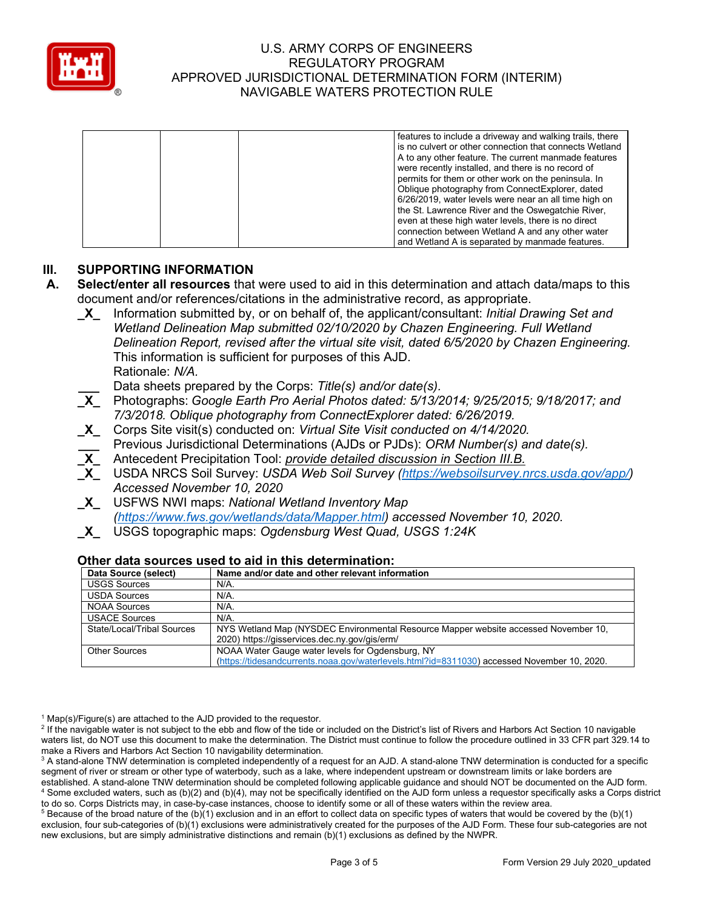

|  | features to include a driveway and walking trails, there  |
|--|-----------------------------------------------------------|
|  | I is no culvert or other connection that connects Wetland |
|  | A to any other feature. The current manmade features      |
|  | were recently installed, and there is no record of        |
|  | permits for them or other work on the peninsula. In       |
|  | Oblique photography from ConnectExplorer, dated           |
|  | 6/26/2019, water levels were near an all time high on     |
|  | the St. Lawrence River and the Oswegatchie River,         |
|  | even at these high water levels, there is no direct       |
|  | connection between Wetland A and any other water          |
|  | and Wetland A is separated by manmade features.           |

## **III. SUPPORTING INFORMATION**

- **A. Select/enter all resources** that were used to aid in this determination and attach data/maps to this document and/or references/citations in the administrative record, as appropriate.
	- **\_X\_** Information submitted by, or on behalf of, the applicant/consultant: *Initial Drawing Set and Wetland Delineation Map submitted 02/10/2020 by Chazen Engineering. Full Wetland Delineation Report, revised after the virtual site visit, dated 6/5/2020 by Chazen Engineering.*  This information is sufficient for purposes of this AJD. Rationale: *N/A.*
		- **\_\_\_** Data sheets prepared by the Corps: *Title(s) and/or date(s).*
	- **\_X\_** Photographs: *Google Earth Pro Aerial Photos dated: 5/13/2014; 9/25/2015; 9/18/2017; and 7/3/2018. Oblique photography from ConnectExplorer dated: 6/26/2019.*
	- **\_X\_** Corps Site visit(s) conducted on: *Virtual Site Visit conducted on 4/14/2020.*
	- **\_\_\_** Previous Jurisdictional Determinations (AJDs or PJDs): *ORM Number(s) and date(s).*
	- **\_X\_** Antecedent Precipitation Tool: *provide detailed discussion in Section III.B.*
	- **\_X\_** USDA NRCS Soil Survey: *USDA Web Soil Survey [\(https://websoilsurvey.nrcs.usda.gov/app/\)](https://websoilsurvey.nrcs.usda.gov/app/) Accessed November 10, 2020*
	- **\_X\_** USFWS NWI maps: *National Wetland Inventory Map [\(https://www.fws.gov/wetlands/data/Mapper.html\)](https://www.fws.gov/wetlands/data/Mapper.html) accessed November 10, 2020.*
	- **\_X\_** USGS topographic maps: *Ogdensburg West Quad, USGS 1:24K*

| Other data Sources used to ald in this determination. |                                                                                             |  |  |  |
|-------------------------------------------------------|---------------------------------------------------------------------------------------------|--|--|--|
| Data Source (select)                                  | Name and/or date and other relevant information                                             |  |  |  |
| <b>USGS Sources</b>                                   | N/A.                                                                                        |  |  |  |
| <b>USDA Sources</b>                                   | $N/A$ .                                                                                     |  |  |  |
| <b>NOAA Sources</b>                                   | $N/A$ .                                                                                     |  |  |  |
| <b>USACE Sources</b>                                  | $N/A$ .                                                                                     |  |  |  |
| State/Local/Tribal Sources                            | NYS Wetland Map (NYSDEC Environmental Resource Mapper website accessed November 10,         |  |  |  |
|                                                       | 2020) https://gisservices.dec.ny.gov/gis/erm/                                               |  |  |  |
| <b>Other Sources</b>                                  | NOAA Water Gauge water levels for Ogdensburg, NY                                            |  |  |  |
|                                                       | (https://tidesandcurrents.noaa.gov/waterlevels.html?id=8311030) accessed November 10, 2020. |  |  |  |

# **Other data sources used to aid in this determination:**

 $1$  Map(s)/Figure(s) are attached to the AJD provided to the requestor.

<sup>2</sup> If the navigable water is not subject to the ebb and flow of the tide or included on the District's list of Rivers and Harbors Act Section 10 navigable waters list, do NOT use this document to make the determination. The District must continue to follow the procedure outlined in 33 CFR part 329.14 to make a Rivers and Harbors Act Section 10 navigability determination.

 $5$  Because of the broad nature of the (b)(1) exclusion and in an effort to collect data on specific types of waters that would be covered by the (b)(1) exclusion, four sub-categories of (b)(1) exclusions were administratively created for the purposes of the AJD Form. These four sub-categories are not new exclusions, but are simply administrative distinctions and remain (b)(1) exclusions as defined by the NWPR.

<sup>&</sup>lt;sup>3</sup> A stand-alone TNW determination is completed independently of a request for an AJD. A stand-alone TNW determination is conducted for a specific segment of river or stream or other type of waterbody, such as a lake, where independent upstream or downstream limits or lake borders are established. A stand-alone TNW determination should be completed following applicable guidance and should NOT be documented on the AJD form. <sup>4</sup> Some excluded waters, such as (b)(2) and (b)(4), may not be specifically identified on the AJD form unless a requestor specifically asks a Corps district to do so. Corps Districts may, in case-by-case instances, choose to identify some or all of these waters within the review area.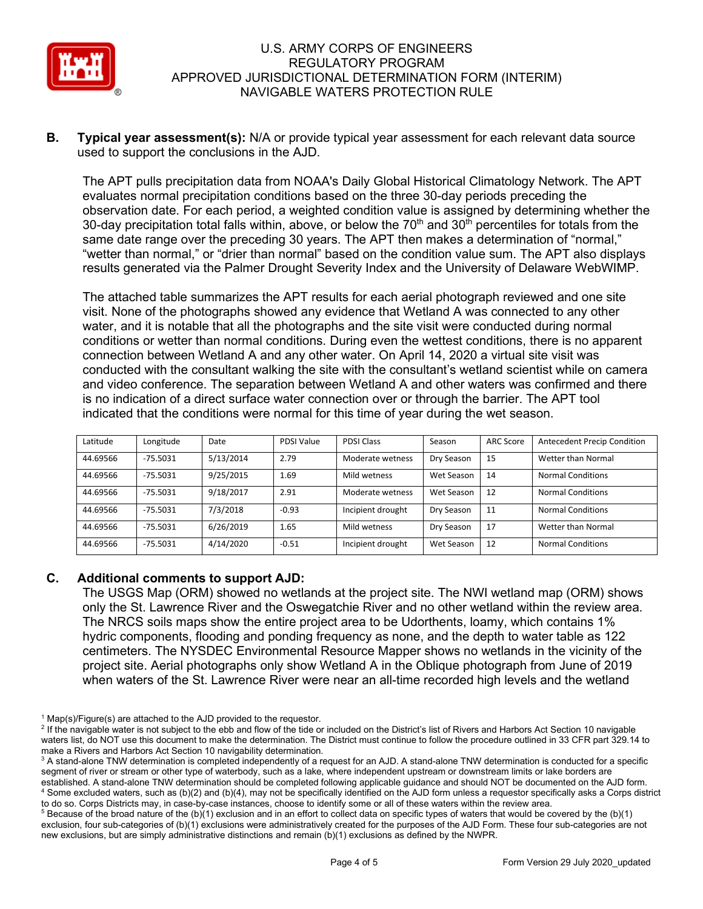

**B. Typical year assessment(s):** N/A or provide typical year assessment for each relevant data source used to support the conclusions in the AJD.

The APT pulls precipitation data from NOAA's Daily Global Historical Climatology Network. The APT evaluates normal precipitation conditions based on the three 30-day periods preceding the observation date. For each period, a weighted condition value is assigned by determining whether the 30-day precipitation total falls within, above, or below the 70<sup>th</sup> and 30<sup>th</sup> percentiles for totals from the same date range over the preceding 30 years. The APT then makes a determination of "normal," "wetter than normal," or "drier than normal" based on the condition value sum. The APT also displays results generated via the Palmer Drought Severity Index and the University of Delaware WebWIMP.

The attached table summarizes the APT results for each aerial photograph reviewed and one site visit. None of the photographs showed any evidence that Wetland A was connected to any other water, and it is notable that all the photographs and the site visit were conducted during normal conditions or wetter than normal conditions. During even the wettest conditions, there is no apparent connection between Wetland A and any other water. On April 14, 2020 a virtual site visit was conducted with the consultant walking the site with the consultant's wetland scientist while on camera and video conference. The separation between Wetland A and other waters was confirmed and there is no indication of a direct surface water connection over or through the barrier. The APT tool indicated that the conditions were normal for this time of year during the wet season.

| Latitude | Longitude  | Date      | PDSI Value | <b>PDSI Class</b> | Season     | <b>ARC Score</b> | <b>Antecedent Precip Condition</b> |
|----------|------------|-----------|------------|-------------------|------------|------------------|------------------------------------|
| 44.69566 | $-75.5031$ | 5/13/2014 | 2.79       | Moderate wetness  | Dry Season | 15               | Wetter than Normal                 |
| 44.69566 | $-75.5031$ | 9/25/2015 | 1.69       | Mild wetness      | Wet Season | 14               | <b>Normal Conditions</b>           |
| 44.69566 | $-75.5031$ | 9/18/2017 | 2.91       | Moderate wetness  | Wet Season | 12               | <b>Normal Conditions</b>           |
| 44.69566 | $-75.5031$ | 7/3/2018  | $-0.93$    | Incipient drought | Dry Season | 11               | <b>Normal Conditions</b>           |
| 44.69566 | $-75.5031$ | 6/26/2019 | 1.65       | Mild wetness      | Dry Season | 17               | Wetter than Normal                 |
| 44.69566 | $-75.5031$ | 4/14/2020 | $-0.51$    | Incipient drought | Wet Season | 12               | <b>Normal Conditions</b>           |

## **C. Additional comments to support AJD:**

The USGS Map (ORM) showed no wetlands at the project site. The NWI wetland map (ORM) shows only the St. Lawrence River and the Oswegatchie River and no other wetland within the review area. The NRCS soils maps show the entire project area to be Udorthents, loamy, which contains 1% hydric components, flooding and ponding frequency as none, and the depth to water table as 122 centimeters. The NYSDEC Environmental Resource Mapper shows no wetlands in the vicinity of the project site. Aerial photographs only show Wetland A in the Oblique photograph from June of 2019 when waters of the St. Lawrence River were near an all-time recorded high levels and the wetland

 $1$  Map(s)/Figure(s) are attached to the AJD provided to the requestor.

<sup>&</sup>lt;sup>2</sup> If the navigable water is not subject to the ebb and flow of the tide or included on the District's list of Rivers and Harbors Act Section 10 navigable waters list, do NOT use this document to make the determination. The District must continue to follow the procedure outlined in 33 CFR part 329.14 to make a Rivers and Harbors Act Section 10 navigability determination.

<sup>&</sup>lt;sup>3</sup> A stand-alone TNW determination is completed independently of a request for an AJD. A stand-alone TNW determination is conducted for a specific segment of river or stream or other type of waterbody, such as a lake, where independent upstream or downstream limits or lake borders are established. A stand-alone TNW determination should be completed following applicable guidance and should NOT be documented on the AJD form. <sup>4</sup> Some excluded waters, such as (b)(2) and (b)(4), may not be specifically identified on the AJD form unless a requestor specifically asks a Corps district to do so. Corps Districts may, in case-by-case instances, choose to identify some or all of these waters within the review area.

 $5$  Because of the broad nature of the (b)(1) exclusion and in an effort to collect data on specific types of waters that would be covered by the (b)(1) exclusion, four sub-categories of (b)(1) exclusions were administratively created for the purposes of the AJD Form. These four sub-categories are not new exclusions, but are simply administrative distinctions and remain (b)(1) exclusions as defined by the NWPR.